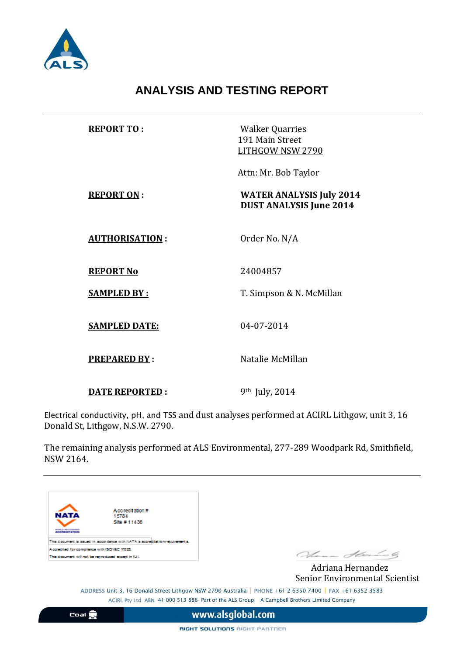

## **ANALYSIS AND TESTING REPORT**

| <b>REPORT TO:</b>     | <b>Walker Quarries</b><br>191 Main Street<br>LITHGOW NSW 2790     |  |
|-----------------------|-------------------------------------------------------------------|--|
|                       | Attn: Mr. Bob Taylor                                              |  |
| <b>REPORT ON:</b>     | <b>WATER ANALYSIS July 2014</b><br><b>DUST ANALYSIS June 2014</b> |  |
| <b>AUTHORISATION:</b> | Order No. N/A                                                     |  |
| <b>REPORT No</b>      | 24004857                                                          |  |
| <b>SAMPLED BY:</b>    | T. Simpson & N. McMillan                                          |  |
| <b>SAMPLED DATE:</b>  | 04-07-2014                                                        |  |
| <b>PREPARED BY:</b>   | Natalie McMillan                                                  |  |
| <b>DATE REPORTED:</b> | 9 <sup>th</sup> July, 2014                                        |  |

Electrical conductivity, pH, and TSS and dust analyses performed at ACIRL Lithgow, unit 3, 16 Donald St, Lithgow, N.S.W. 2790.

The remaining analysis performed at ALS Environmental, 277-289 Woodpark Rd, Smithfield, NSW 2164.



Accreditation#<br>15784 Site #11436

.<br>ment is issued in soccritence with NATA's scoreditetion regulmements. This docu Accredited for completion with ISO/IEC 17025. This document will not be reproduced except in full.

Alena Standard

 Adriana Hernandez Senior Environmental Scientist

ADDRESS Unit 3, 16 Donald Street Lithgow NSW 2790 Australia | PHONE +61 2 6350 7400 | FAX +61 6352 3583 ACIRL Pty Ltd ABN 41 000 513 888 Part of the ALS Group A Campbell Brothers Limited Company

Coal **S** 

www.alsglobal.com

RIGHT SOLUTIONS RIGHT PARTNER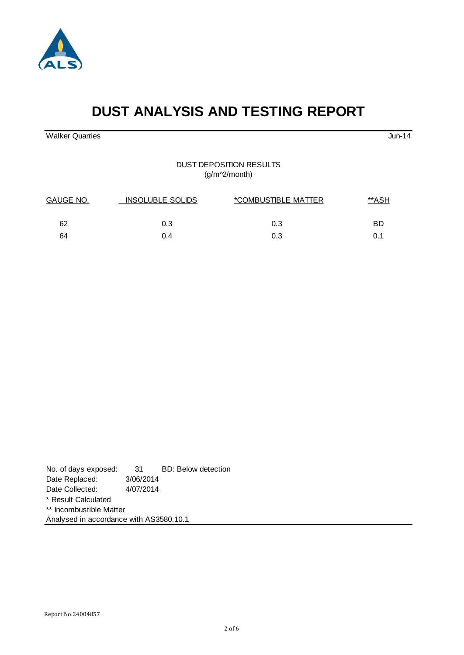

# **DUST ANALYSIS AND TESTING REPORT**

Walker Quarries Jun-14

#### DUST DEPOSITION RESULTS (g/m^2/month)

| GAUGE NO. | <b>INSOLUBLE SOLIDS</b> | <i>*COMBUSTIBLE MATTER</i> |     |
|-----------|-------------------------|----------------------------|-----|
| 62        | 0.3                     | 0.3                        | BD  |
| 64        | 0.4                     | 0.3                        | 0.1 |

| No. of days exposed:                    |           | 31 BD: Below detection |  |
|-----------------------------------------|-----------|------------------------|--|
| Date Replaced:                          | 3/06/2014 |                        |  |
| Date Collected:                         | 4/07/2014 |                        |  |
| * Result Calculated                     |           |                        |  |
| ** Incombustible Matter                 |           |                        |  |
| Analysed in accordance with AS3580.10.1 |           |                        |  |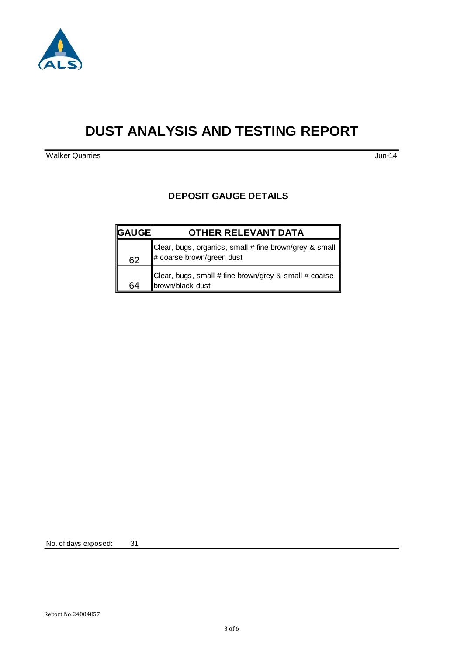

## **DUST ANALYSIS AND TESTING REPORT**

**Walker Quarries Jun-14** 

#### **DEPOSIT GAUGE DETAILS**

| <b>GAUGE</b> | <b>OTHER RELEVANT DATA</b>                                                             |
|--------------|----------------------------------------------------------------------------------------|
| 62           | Clear, bugs, organics, small # fine brown/grey & small   <br># coarse brown/green dust |
| 64           | Clear, bugs, small # fine brown/grey & small # coarse<br>brown/black dust              |

No. of days exposed: 31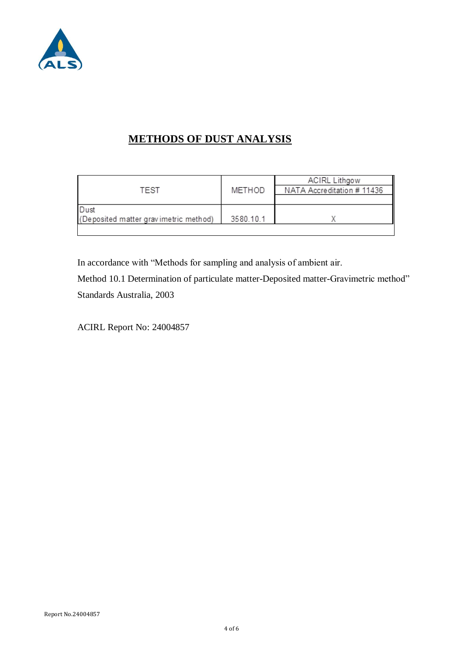

## **METHODS OF DUST ANALYSIS**

|                                       |           | <b>ACIRL Lithgow</b>       |
|---------------------------------------|-----------|----------------------------|
| TEST                                  | METHOD    | NATA Accreditation # 11436 |
|                                       |           |                            |
| Dust                                  |           |                            |
| (Deposited matter gravimetric method) | 3580.10.1 |                            |
|                                       |           |                            |

In accordance with "Methods for sampling and analysis of ambient air.

Method 10.1 Determination of particulate matter-Deposited matter-Gravimetric method" Standards Australia, 2003

ACIRL Report No: 24004857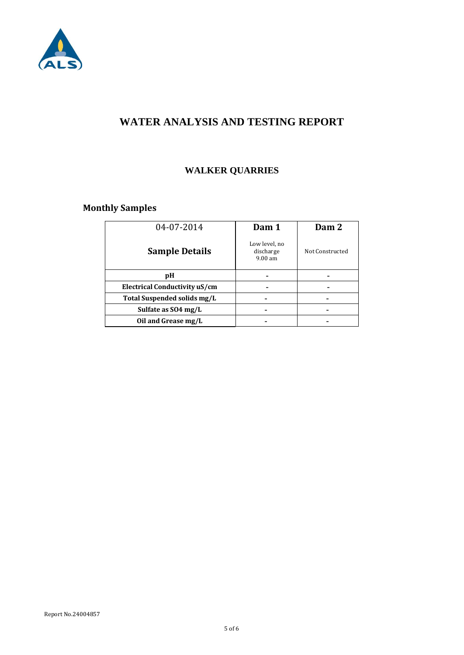

### **WATER ANALYSIS AND TESTING REPORT**

### **WALKER QUARRIES**

### **Monthly Samples**

| 04-07-2014                    | Dam 1                                             | Dam 2           |
|-------------------------------|---------------------------------------------------|-----------------|
| <b>Sample Details</b>         | Low level, no<br>discharge<br>9.00 a <sub>m</sub> | Not Constructed |
| рH                            |                                                   |                 |
| Electrical Conductivity uS/cm |                                                   |                 |
| Total Suspended solids mg/L   |                                                   |                 |
| Sulfate as SO4 mg/L           |                                                   |                 |
| Oil and Grease mg/L           |                                                   |                 |